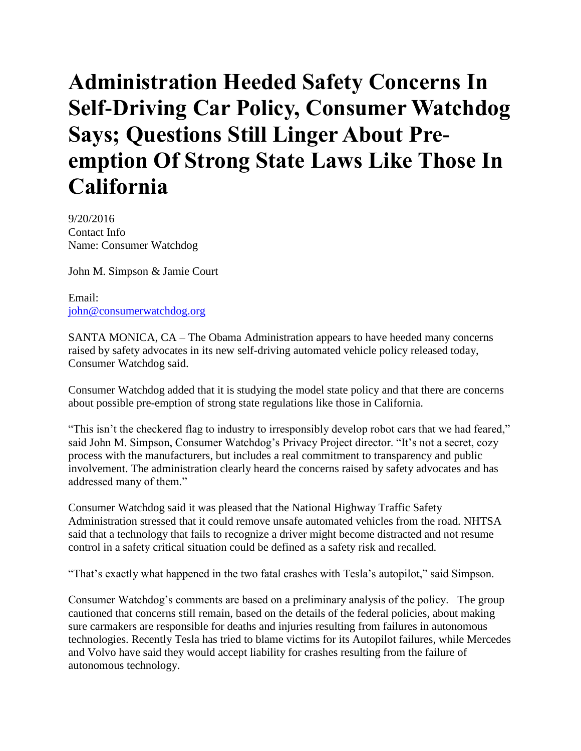## **Administration Heeded Safety Concerns In Self-Driving Car Policy, Consumer Watchdog Says; Questions Still Linger About Preemption Of Strong State Laws Like Those In California**

9/20/2016 Contact Info Name: Consumer Watchdog

John M. Simpson & Jamie Court

Email: [john@consumerwatchdog.org](mailto:john@consumerwatchdog.org)

SANTA MONICA, CA – The Obama Administration appears to have heeded many concerns raised by safety advocates in its new self-driving automated vehicle policy released today, Consumer Watchdog said.

Consumer Watchdog added that it is studying the model state policy and that there are concerns about possible pre-emption of strong state regulations like those in California.

"This isn't the checkered flag to industry to irresponsibly develop robot cars that we had feared," said John M. Simpson, Consumer Watchdog's Privacy Project director. "It's not a secret, cozy process with the manufacturers, but includes a real commitment to transparency and public involvement. The administration clearly heard the concerns raised by safety advocates and has addressed many of them."

Consumer Watchdog said it was pleased that the National Highway Traffic Safety Administration stressed that it could remove unsafe automated vehicles from the road. NHTSA said that a technology that fails to recognize a driver might become distracted and not resume control in a safety critical situation could be defined as a safety risk and recalled.

"That's exactly what happened in the two fatal crashes with Tesla's autopilot," said Simpson.

Consumer Watchdog's comments are based on a preliminary analysis of the policy. The group cautioned that concerns still remain, based on the details of the federal policies, about making sure carmakers are responsible for deaths and injuries resulting from failures in autonomous technologies. Recently Tesla has tried to blame victims for its Autopilot failures, while Mercedes and Volvo have said they would accept liability for crashes resulting from the failure of autonomous technology.